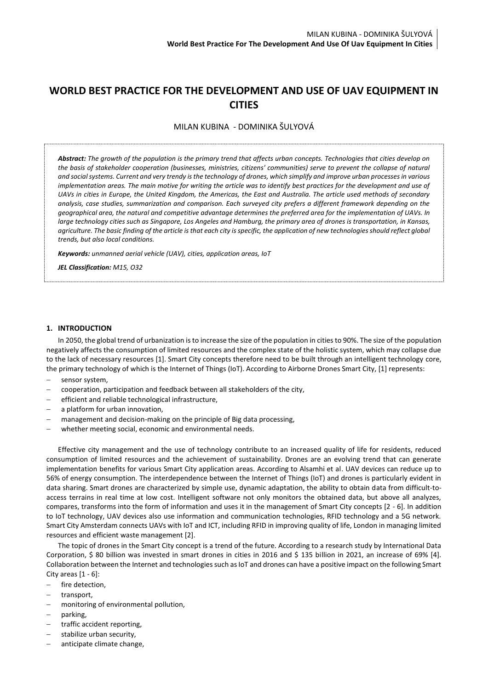# **WORLD BEST PRACTICE FOR THE DEVELOPMENT AND USE OF UAV EQUIPMENT IN CITIES**

MILAN KUBINA - DOMINIKA ŠULYOVÁ

*Abstract: The growth of the population is the primary trend that affects urban concepts. Technologies that cities develop on the basis of stakeholder cooperation (businesses, ministries, citizens' communities) serve to prevent the collapse of natural and social systems. Current and very trendy is the technology of drones, which simplify and improve urban processes in various*  implementation areas. The main motive for writing the article was to identify best practices for the development and use of *UAVs in cities in Europe, the United Kingdom, the Americas, the East and Australia. The article used methods of secondary analysis, case studies, summarization and comparison. Each surveyed city prefers a different framework depending on the geographical area, the natural and competitive advantage determines the preferred area for the implementation of UAVs. In large technology cities such as Singapore, Los Angeles and Hamburg, the primary area of drones is transportation, in Kansas, agriculture. The basic finding of the article is that each city is specific, the application of new technologies should reflect global trends, but also local conditions.*

*Keywords: unmanned aerial vehicle (UAV), cities, application areas, IoT*

*JEL Classification: M15, O32*

### **1. INTRODUCTION**

In 2050, the global trend of urbanization is to increase the size of the population in cities to 90%. The size of the population negatively affects the consumption of limited resources and the complex state of the holistic system, which may collapse due to the lack of necessary resources [1]. Smart City concepts therefore need to be built through an intelligent technology core, the primary technology of which is the Internet of Things (IoT). According to Airborne Drones Smart City, [1] represents:

- sensor system,
- − cooperation, participation and feedback between all stakeholders of the city,
- efficient and reliable technological infrastructure,
- a platform for urban innovation,
- management and decision-making on the principle of Big data processing,
- whether meeting social, economic and environmental needs.

Effective city management and the use of technology contribute to an increased quality of life for residents, reduced consumption of limited resources and the achievement of sustainability. Drones are an evolving trend that can generate implementation benefits for various Smart City application areas. According to Alsamhi et al. UAV devices can reduce up to 56% of energy consumption. The interdependence between the Internet of Things (IoT) and drones is particularly evident in data sharing. Smart drones are characterized by simple use, dynamic adaptation, the ability to obtain data from difficult-toaccess terrains in real time at low cost. Intelligent software not only monitors the obtained data, but above all analyzes, compares, transforms into the form of information and uses it in the management of Smart City concepts [2 - 6]. In addition to IoT technology, UAV devices also use information and communication technologies, RFID technology and a 5G network. Smart City Amsterdam connects UAVs with IoT and ICT, including RFID in improving quality of life, London in managing limited resources and efficient waste management [2].

The topic of drones in the Smart City concept is a trend of the future. According to a research study by International Data Corporation, \$ 80 billion was invested in smart drones in cities in 2016 and \$ 135 billion in 2021, an increase of 69% [4]. Collaboration between the Internet and technologies such as IoT and drones can have a positive impact on the following Smart City areas  $[1 - 6]$ :

- − fire detection,
- − transport,
- monitoring of environmental pollution,
- parking,
- traffic accident reporting,
- stabilize urban security,
- anticipate climate change,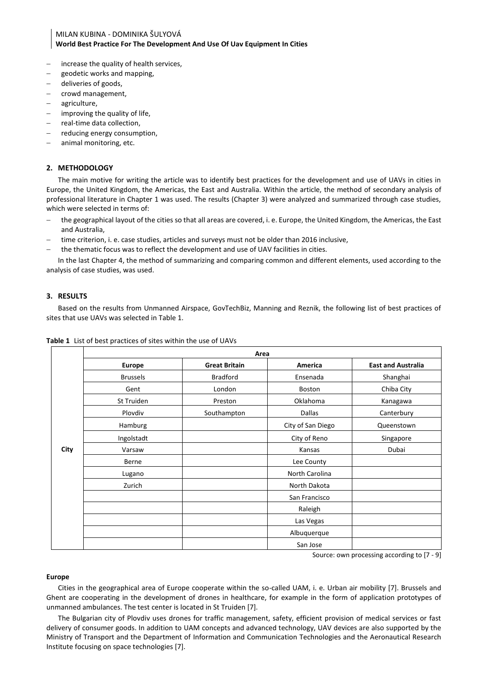# MILAN KUBINA - DOMINIKA ŠULYOVÁ **World Best Practice For The Development And Use Of Uav Equipment In Cities**

- − increase the quality of health services,
- − geodetic works and mapping,
- deliveries of goods,
- − crowd management,
- − agriculture,
- improving the quality of life,
- − real-time data collection,
- reducing energy consumption,
- animal monitoring, etc.

## **2. METHODOLOGY**

The main motive for writing the article was to identify best practices for the development and use of UAVs in cities in Europe, the United Kingdom, the Americas, the East and Australia. Within the article, the method of secondary analysis of professional literature in Chapter 1 was used. The results (Chapter 3) were analyzed and summarized through case studies, which were selected in terms of:

- − the geographical layout of the cities so that all areas are covered, i. e. Europe, the United Kingdom, the Americas, the East and Australia,
- time criterion, i. e. case studies, articles and surveys must not be older than 2016 inclusive,
- the thematic focus was to reflect the development and use of UAV facilities in cities.

In the last Chapter 4, the method of summarizing and comparing common and different elements, used according to the analysis of case studies, was used.

# **3. RESULTS**

Based on the results from Unmanned Airspace, GovTechBiz, Manning and Reznik, the following list of best practices of sites that use UAVs was selected in Table 1.

|      |                 | Area                 |                   |                           |  |  |
|------|-----------------|----------------------|-------------------|---------------------------|--|--|
|      | <b>Europe</b>   | <b>Great Britain</b> | America           | <b>East and Australia</b> |  |  |
| City | <b>Brussels</b> | <b>Bradford</b>      | Ensenada          | Shanghai                  |  |  |
|      | Gent            | London               | Boston            | Chiba City                |  |  |
|      | St Truiden      | Preston              | Oklahoma          | Kanagawa                  |  |  |
|      | Plovdiv         | Southampton          | <b>Dallas</b>     | Canterbury                |  |  |
|      | Hamburg         |                      | City of San Diego | Queenstown                |  |  |
|      | Ingolstadt      |                      | City of Reno      | Singapore                 |  |  |
|      | Varsaw          |                      | Kansas            | Dubai                     |  |  |
|      | Berne           |                      | Lee County        |                           |  |  |
|      | Lugano          |                      | North Carolina    |                           |  |  |
|      | Zurich          |                      | North Dakota      |                           |  |  |
|      |                 |                      | San Francisco     |                           |  |  |
|      |                 |                      | Raleigh           |                           |  |  |
|      |                 |                      | Las Vegas         |                           |  |  |
|      |                 |                      | Albuquerque       |                           |  |  |
|      |                 |                      | San Jose          |                           |  |  |

### **Table 1** List of best practices of sites within the use of UAVs

Source: own processing according to [7 - 9]

# **Europe**

Cities in the geographical area of Europe cooperate within the so-called UAM, i. e. Urban air mobility [7]. Brussels and Ghent are cooperating in the development of drones in healthcare, for example in the form of application prototypes of unmanned ambulances. The test center is located in St Truiden [7].

The Bulgarian city of Plovdiv uses drones for traffic management, safety, efficient provision of medical services or fast delivery of consumer goods. In addition to UAM concepts and advanced technology, UAV devices are also supported by the Ministry of Transport and the Department of Information and Communication Technologies and the Aeronautical Research Institute focusing on space technologies [7].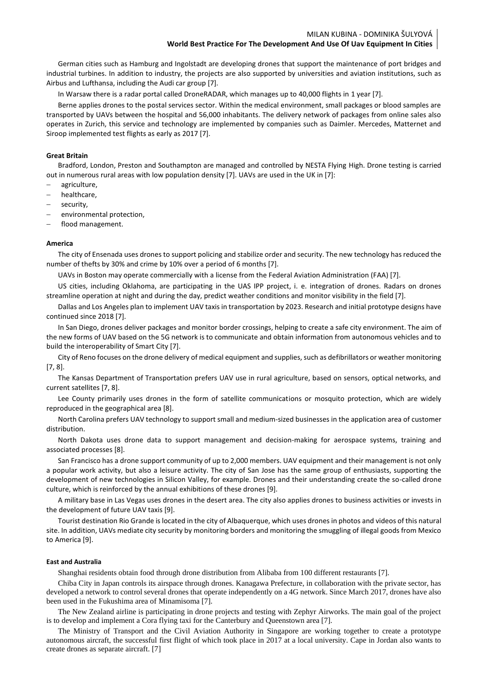German cities such as Hamburg and Ingolstadt are developing drones that support the maintenance of port bridges and industrial turbines. In addition to industry, the projects are also supported by universities and aviation institutions, such as Airbus and Lufthansa, including the Audi car group [7].

In Warsaw there is a radar portal called DroneRADAR, which manages up to 40,000 flights in 1 year [7].

Berne applies drones to the postal services sector. Within the medical environment, small packages or blood samples are transported by UAVs between the hospital and 56,000 inhabitants. The delivery network of packages from online sales also operates in Zurich, this service and technology are implemented by companies such as Daimler. Mercedes, Matternet and Siroop implemented test flights as early as 2017 [7].

### **Great Britain**

Bradford, London, Preston and Southampton are managed and controlled by NESTA Flying High. Drone testing is carried out in numerous rural areas with low population density [7]. UAVs are used in the UK in [7]:

- − agriculture,
- − healthcare,
- security.
- environmental protection,
- flood management.

#### **America**

The city of Ensenada uses drones to support policing and stabilize order and security. The new technology has reduced the number of thefts by 30% and crime by 10% over a period of 6 months [7].

UAVs in Boston may operate commercially with a license from the Federal Aviation Administration (FAA) [7].

US cities, including Oklahoma, are participating in the UAS IPP project, i. e. integration of drones. Radars on drones streamline operation at night and during the day, predict weather conditions and monitor visibility in the field [7].

Dallas and Los Angeles plan to implement UAV taxis in transportation by 2023. Research and initial prototype designs have continued since 2018 [7].

In San Diego, drones deliver packages and monitor border crossings, helping to create a safe city environment. The aim of the new forms of UAV based on the 5G network is to communicate and obtain information from autonomous vehicles and to build the interoperability of Smart City [7].

City of Reno focuses on the drone delivery of medical equipment and supplies, such as defibrillators or weather monitoring [7, 8].

The Kansas Department of Transportation prefers UAV use in rural agriculture, based on sensors, optical networks, and current satellites [7, 8].

Lee County primarily uses drones in the form of satellite communications or mosquito protection, which are widely reproduced in the geographical area [8].

North Carolina prefers UAV technology to support small and medium-sized businesses in the application area of customer distribution.

North Dakota uses drone data to support management and decision-making for aerospace systems, training and associated processes [8].

San Francisco has a drone support community of up to 2,000 members. UAV equipment and their management is not only a popular work activity, but also a leisure activity. The city of San Jose has the same group of enthusiasts, supporting the development of new technologies in Silicon Valley, for example. Drones and their understanding create the so-called drone culture, which is reinforced by the annual exhibitions of these drones [9].

A military base in Las Vegas uses drones in the desert area. The city also applies drones to business activities or invests in the development of future UAV taxis [9].

Tourist destination Rio Grande is located in the city of Albaquerque, which uses drones in photos and videos of this natural site. In addition, UAVs mediate city security by monitoring borders and monitoring the smuggling of illegal goods from Mexico to America [9].

#### **East and Australia**

Shanghai residents obtain food through drone distribution from Alibaba from 100 different restaurants [7].

Chiba City in Japan controls its airspace through drones. Kanagawa Prefecture, in collaboration with the private sector, has developed a network to control several drones that operate independently on a 4G network. Since March 2017, drones have also been used in the Fukushima area of Minamisoma [7].

The New Zealand airline is participating in drone projects and testing with Zephyr Airworks. The main goal of the project is to develop and implement a Cora flying taxi for the Canterbury and Queenstown area [7].

The Ministry of Transport and the Civil Aviation Authority in Singapore are working together to create a prototype autonomous aircraft, the successful first flight of which took place in 2017 at a local university. Cape in Jordan also wants to create drones as separate aircraft. [7]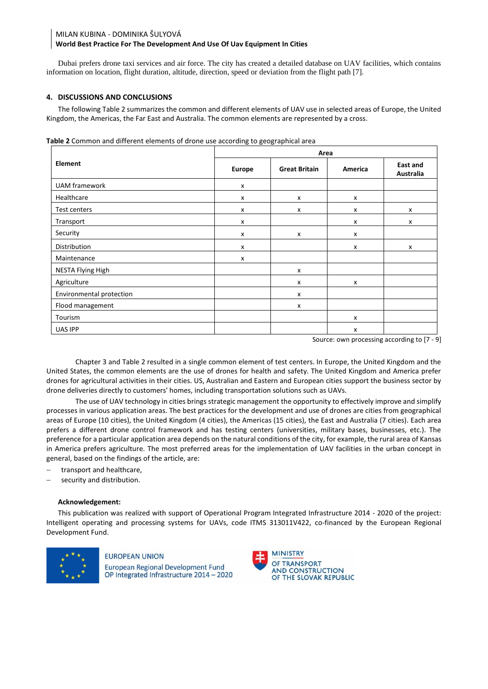# MILAN KUBINA - DOMINIKA ŠULYOVÁ **World Best Practice For The Development And Use Of Uav Equipment In Cities**

Dubai prefers drone taxi services and air force. The city has created a detailed database on UAV facilities, which contains information on location, flight duration, altitude, direction, speed or deviation from the flight path [7].

# **4. DISCUSSIONS AND CONCLUSIONS**

The following Table 2 summarizes the common and different elements of UAV use in selected areas of Europe, the United Kingdom, the Americas, the Far East and Australia. The common elements are represented by a cross.

|                          | Area                      |                      |                           |                           |  |
|--------------------------|---------------------------|----------------------|---------------------------|---------------------------|--|
| Element                  | <b>Europe</b>             | <b>Great Britain</b> | America                   | East and<br>Australia     |  |
| <b>UAM</b> framework     | x                         |                      |                           |                           |  |
| Healthcare               | x                         | x                    | x                         |                           |  |
| Test centers             | X                         | x                    | x                         | X                         |  |
| Transport                | x                         |                      | x                         | x                         |  |
| Security                 | X                         | x                    | x                         |                           |  |
| Distribution             | $\boldsymbol{\mathsf{x}}$ |                      | $\mathsf{x}$              | $\boldsymbol{\mathsf{x}}$ |  |
| Maintenance              | x                         |                      |                           |                           |  |
| NESTA Flying High        |                           | x                    |                           |                           |  |
| Agriculture              |                           | x                    | $\mathsf{x}$              |                           |  |
| Environmental protection |                           | x                    |                           |                           |  |
| Flood management         |                           | x                    |                           |                           |  |
| Tourism                  |                           |                      | x                         |                           |  |
| UAS IPP                  |                           |                      | $\boldsymbol{\mathsf{x}}$ |                           |  |

Source: own processing according to [7 - 9]

Chapter 3 and Table 2 resulted in a single common element of test centers. In Europe, the United Kingdom and the United States, the common elements are the use of drones for health and safety. The United Kingdom and America prefer drones for agricultural activities in their cities. US, Australian and Eastern and European cities support the business sector by drone deliveries directly to customers' homes, including transportation solutions such as UAVs.

The use of UAV technology in cities brings strategic management the opportunity to effectively improve and simplify processes in various application areas. The best practices for the development and use of drones are cities from geographical areas of Europe (10 cities), the United Kingdom (4 cities), the Americas (15 cities), the East and Australia (7 cities). Each area prefers a different drone control framework and has testing centers (universities, military bases, businesses, etc.). The preference for a particular application area depends on the natural conditions of the city, for example, the rural area of Kansas in America prefers agriculture. The most preferred areas for the implementation of UAV facilities in the urban concept in general, based on the findings of the article, are:

- transport and healthcare,
- security and distribution.

# **Acknowledgement:**

This publication was realized with support of Operational Program Integrated Infrastructure 2014 - 2020 of the project: Intelligent operating and processing systems for UAVs, code ITMS 313011V422, co-financed by the European Regional Development Fund.



# **EUROPEAN UNION**

**European Regional Development Fund** OP Integrated Infrastructure 2014 - 2020